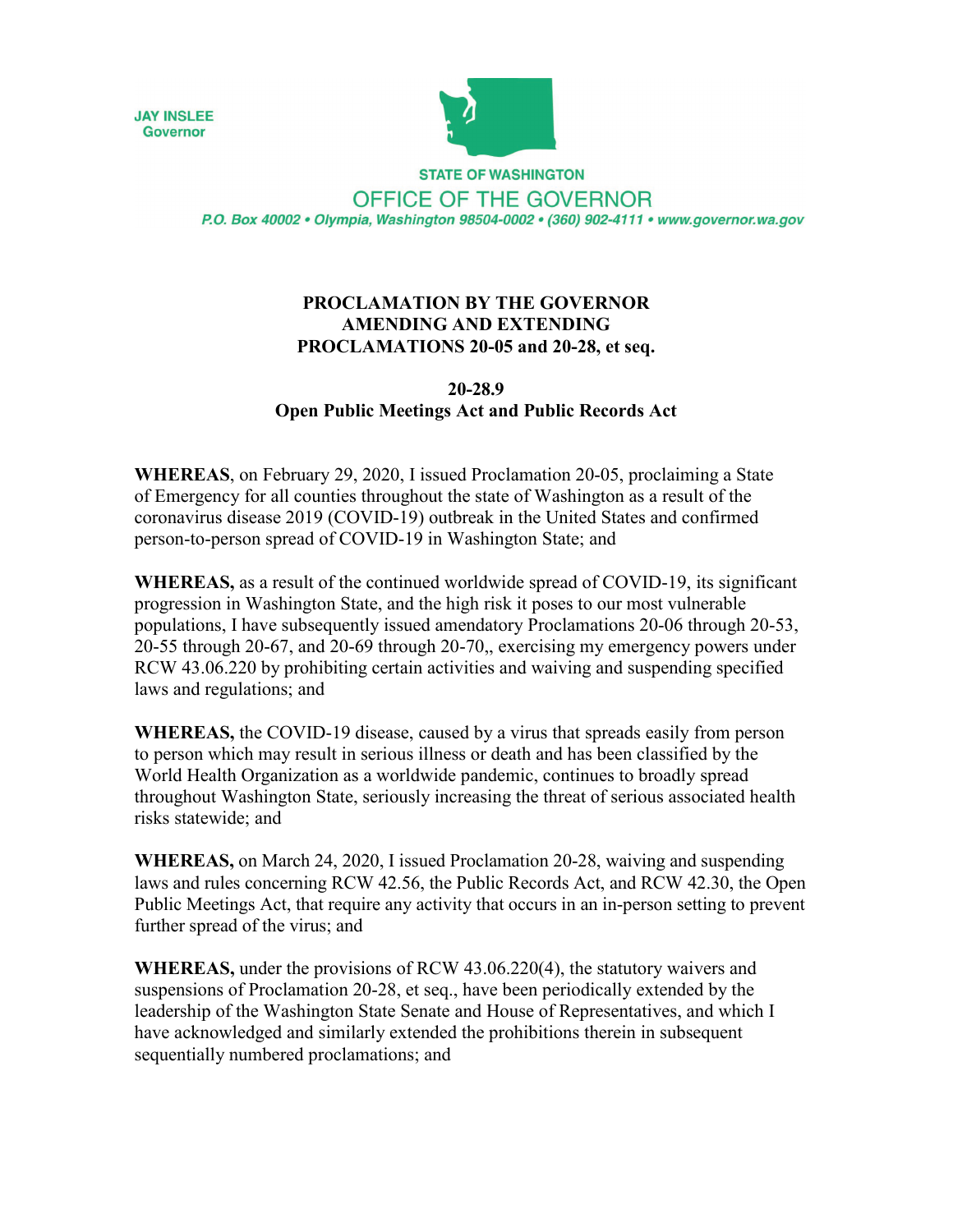



**STATE OF WASHINGTON** OFFICE OF THE GOVERNOR P.O. Box 40002 · Olympia, Washington 98504-0002 · (360) 902-4111 · www.governor.wa.gov

## **PROCLAMATION BY THE GOVERNOR AMENDING AND EXTENDING PROCLAMATIONS 20-05 and 20-28, et seq.**

## **20-28.9 Open Public Meetings Act and Public Records Act**

**WHEREAS**, on February 29, 2020, I issued Proclamation 20-05, proclaiming a State of Emergency for all counties throughout the state of Washington as a result of the coronavirus disease 2019 (COVID-19) outbreak in the United States and confirmed person-to-person spread of COVID-19 in Washington State; and

**WHEREAS,** as a result of the continued worldwide spread of COVID-19, its significant progression in Washington State, and the high risk it poses to our most vulnerable populations, I have subsequently issued amendatory Proclamations 20-06 through 20-53, 20-55 through 20-67, and 20-69 through 20-70,, exercising my emergency powers under RCW 43.06.220 by prohibiting certain activities and waiving and suspending specified laws and regulations; and

**WHEREAS,** the COVID-19 disease, caused by a virus that spreads easily from person to person which may result in serious illness or death and has been classified by the World Health Organization as a worldwide pandemic, continues to broadly spread throughout Washington State, seriously increasing the threat of serious associated health risks statewide; and

**WHEREAS,** on March 24, 2020, I issued Proclamation 20-28, waiving and suspending laws and rules concerning RCW 42.56, the Public Records Act, and RCW 42.30, the Open Public Meetings Act, that require any activity that occurs in an in-person setting to prevent further spread of the virus; and

**WHEREAS,** under the provisions of RCW 43.06.220(4), the statutory waivers and suspensions of Proclamation 20-28, et seq., have been periodically extended by the leadership of the Washington State Senate and House of Representatives, and which I have acknowledged and similarly extended the prohibitions therein in subsequent sequentially numbered proclamations; and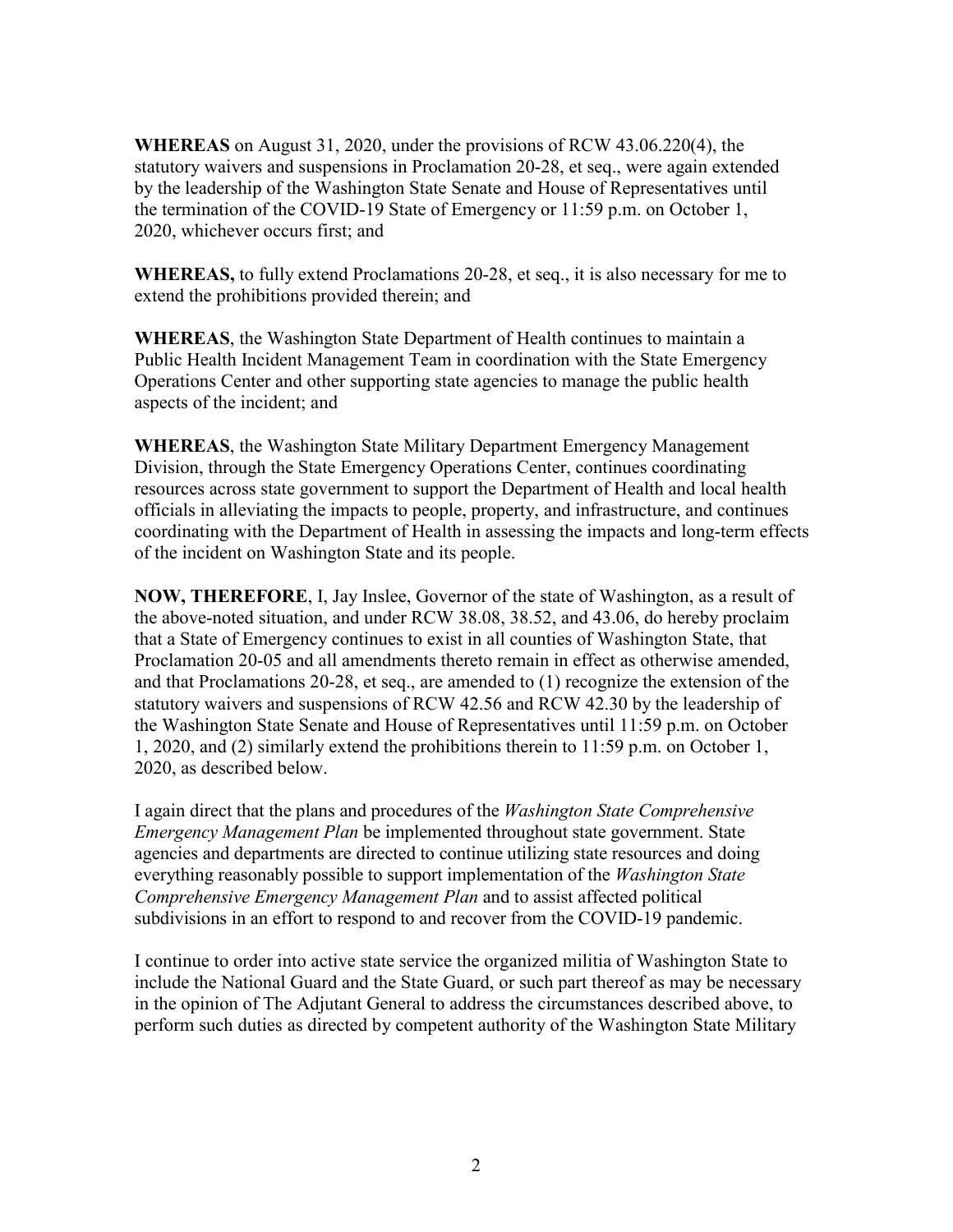**WHEREAS** on August 31, 2020, under the provisions of RCW 43.06.220(4), the statutory waivers and suspensions in Proclamation 20-28, et seq., were again extended by the leadership of the Washington State Senate and House of Representatives until the termination of the COVID-19 State of Emergency or 11:59 p.m. on October 1, 2020, whichever occurs first; and

**WHEREAS,** to fully extend Proclamations 20-28, et seq., it is also necessary for me to extend the prohibitions provided therein; and

**WHEREAS**, the Washington State Department of Health continues to maintain a Public Health Incident Management Team in coordination with the State Emergency Operations Center and other supporting state agencies to manage the public health aspects of the incident; and

**WHEREAS**, the Washington State Military Department Emergency Management Division, through the State Emergency Operations Center, continues coordinating resources across state government to support the Department of Health and local health officials in alleviating the impacts to people, property, and infrastructure, and continues coordinating with the Department of Health in assessing the impacts and long-term effects of the incident on Washington State and its people.

**NOW, THEREFORE**, I, Jay Inslee, Governor of the state of Washington, as a result of the above-noted situation, and under RCW 38.08, 38.52, and 43.06, do hereby proclaim that a State of Emergency continues to exist in all counties of Washington State, that Proclamation 20-05 and all amendments thereto remain in effect as otherwise amended, and that Proclamations 20-28, et seq., are amended to (1) recognize the extension of the statutory waivers and suspensions of RCW 42.56 and RCW 42.30 by the leadership of the Washington State Senate and House of Representatives until 11:59 p.m. on October 1, 2020, and (2) similarly extend the prohibitions therein to 11:59 p.m. on October 1, 2020, as described below.

I again direct that the plans and procedures of the *Washington State Comprehensive Emergency Management Plan* be implemented throughout state government. State agencies and departments are directed to continue utilizing state resources and doing everything reasonably possible to support implementation of the *Washington State Comprehensive Emergency Management Plan* and to assist affected political subdivisions in an effort to respond to and recover from the COVID-19 pandemic.

I continue to order into active state service the organized militia of Washington State to include the National Guard and the State Guard, or such part thereof as may be necessary in the opinion of The Adjutant General to address the circumstances described above, to perform such duties as directed by competent authority of the Washington State Military